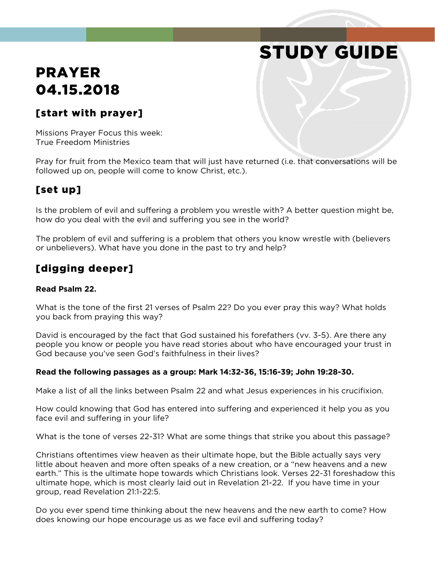# STUDY GUIDE

# PRAYER 04.15.2018

#### [start with prayer]

Missions Prayer Focus this week: True Freedom Ministries

Pray for fruit from the Mexico team that will just have returned (i.e. that conversations will be followed up on, people will come to know Christ, etc.).

#### [set up]

Is the problem of evil and suffering a problem you wrestle with? A better question might be, how do you deal with the evil and suffering you see in the world?

The problem of evil and suffering is a problem that others you know wrestle with (believers or unbelievers). What have you done in the past to try and help?

#### [digging deeper]

#### **Read Psalm 22.**

What is the tone of the first 21 verses of Psalm 22? Do you ever pray this way? What holds you back from praying this way?

David is encouraged by the fact that God sustained his forefathers (vv. 3-5). Are there any people you know or people you have read stories about who have encouraged your trust in God because you've seen God's faithfulness in their lives?

#### **Read the following passages as a group: Mark 14:32-36, 15:16-39; John 19:28-30.**

Make a list of all the links between Psalm 22 and what Jesus experiences in his crucifixion.

How could knowing that God has entered into suffering and experienced it help you as you face evil and suffering in your life?

What is the tone of verses 22-31? What are some things that strike you about this passage?

Christians oftentimes view heaven as their ultimate hope, but the Bible actually says very little about heaven and more often speaks of a new creation, or a "new heavens and a new earth." This is the ultimate hope towards which Christians look. Verses 22-31 foreshadow this ultimate hope, which is most clearly laid out in Revelation 21-22. If you have time in your group, read Revelation 21:1-22:5.

Do you ever spend time thinking about the new heavens and the new earth to come? How does knowing our hope encourage us as we face evil and suffering today?